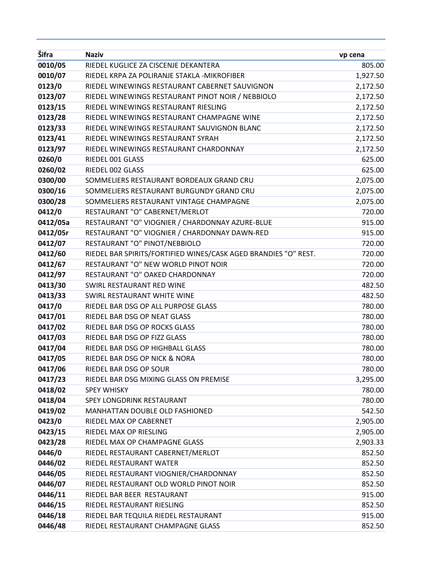| Šifra    | <b>Naziv</b>                                                    | vp cena  |
|----------|-----------------------------------------------------------------|----------|
| 0010/05  | RIEDEL KUGLICE ZA CISCENJE DEKANTERA                            | 805.00   |
| 0010/07  | RIEDEL KRPA ZA POLIRANJE STAKLA - MIKROFIBER                    | 1,927.50 |
| 0123/0   | RIEDEL WINEWINGS RESTAURANT CABERNET SAUVIGNON                  | 2,172.50 |
| 0123/07  | RIEDEL WINEWINGS RESTAURANT PINOT NOIR / NEBBIOLO               | 2,172.50 |
| 0123/15  | RIEDEL WINEWINGS RESTAURANT RIESLING                            | 2,172.50 |
| 0123/28  | RIEDEL WINEWINGS RESTAURANT CHAMPAGNE WINE                      | 2,172.50 |
| 0123/33  | RIEDEL WINEWINGS RESTAURANT SAUVIGNON BLANC                     | 2,172.50 |
| 0123/41  | RIEDEL WINEWINGS RESTAURANT SYRAH                               | 2,172.50 |
| 0123/97  | RIEDEL WINEWINGS RESTAURANT CHARDONNAY                          | 2,172.50 |
| 0260/0   | RIEDEL 001 GLASS                                                | 625.00   |
| 0260/02  | RIEDEL 002 GLASS                                                | 625.00   |
| 0300/00  | SOMMELIERS RESTAURANT BORDEAUX GRAND CRU                        | 2,075.00 |
| 0300/16  | SOMMELIERS RESTAURANT BURGUNDY GRAND CRU                        | 2,075.00 |
| 0300/28  | SOMMELIERS RESTAURANT VINTAGE CHAMPAGNE                         | 2,075.00 |
| 0412/0   | RESTAURANT "O" CABERNET/MERLOT                                  | 720.00   |
| 0412/05a | RESTAURANT "O" VIOGNIER / CHARDONNAY AZURE-BLUE                 | 915.00   |
| 0412/05r | RESTAURANT "O" VIOGNIER / CHARDONNAY DAWN-RED                   | 915.00   |
| 0412/07  | RESTAURANT "O" PINOT/NEBBIOLO                                   | 720.00   |
| 0412/60  | RIEDEL BAR SPIRITS/FORTIFIED WINES/CASK AGED BRANDIES "O" REST. | 720.00   |
| 0412/67  | RESTAURANT "O" NEW WORLD PINOT NOIR                             | 720.00   |
| 0412/97  | RESTAURANT "O" OAKED CHARDONNAY                                 | 720.00   |
| 0413/30  | SWIRL RESTAURANT RED WINE                                       | 482.50   |
| 0413/33  | SWIRL RESTAURANT WHITE WINE                                     | 482.50   |
| 0417/0   | RIEDEL BAR DSG OP ALL PURPOSE GLASS                             | 780.00   |
| 0417/01  | RIEDEL BAR DSG OP NEAT GLASS                                    | 780.00   |
| 0417/02  | RIEDEL BAR DSG OP ROCKS GLASS                                   | 780.00   |
| 0417/03  | RIEDEL BAR DSG OP FIZZ GLASS                                    | 780.00   |
| 0417/04  | RIEDEL BAR DSG OP HIGHBALL GLASS                                | 780.00   |
| 0417/05  | RIEDEL BAR DSG OP NICK & NORA                                   | 780.00   |
| 0417/06  | RIEDEL BAR DSG OP SOUR                                          | 780.00   |
| 0417/23  | RIEDEL BAR DSG MIXING GLASS ON PREMISE                          | 3,295.00 |
| 0418/02  | <b>SPEY WHISKY</b>                                              | 780.00   |
| 0418/04  | SPEY LONGDRINK RESTAURANT                                       | 780.00   |
| 0419/02  | MANHATTAN DOUBLE OLD FASHIONED                                  | 542.50   |
| 0423/0   | RIEDEL MAX OP CABERNET                                          | 2,905.00 |
| 0423/15  | RIEDEL MAX OP RIESLING                                          | 2,905.00 |
| 0423/28  | RIEDEL MAX OP CHAMPAGNE GLASS                                   | 2,903.33 |
| 0446/0   | RIEDEL RESTAURANT CABERNET/MERLOT                               | 852.50   |
| 0446/02  | RIEDEL RESTAURANT WATER                                         | 852.50   |
| 0446/05  | RIEDEL RESTAURANT VIOGNIER/CHARDONNAY                           | 852.50   |
| 0446/07  | RIEDEL RESTAURANT OLD WORLD PINOT NOIR                          | 852.50   |
| 0446/11  | RIEDEL BAR BEER RESTAURANT                                      | 915.00   |
| 0446/15  | RIEDEL RESTAURANT RIESLING                                      | 852.50   |
| 0446/18  | RIEDEL BAR TEQUILA RIEDEL RESTAURANT                            | 915.00   |
| 0446/48  | RIEDEL RESTAURANT CHAMPAGNE GLASS                               | 852.50   |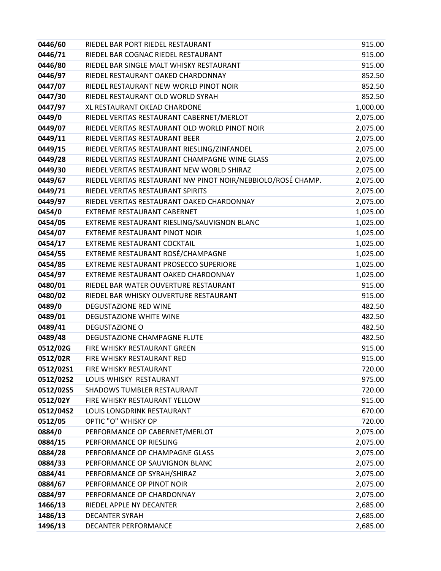| 0446/60   | RIEDEL BAR PORT RIEDEL RESTAURANT                            | 915.00   |
|-----------|--------------------------------------------------------------|----------|
| 0446/71   | RIEDEL BAR COGNAC RIEDEL RESTAURANT                          | 915.00   |
| 0446/80   | RIEDEL BAR SINGLE MALT WHISKY RESTAURANT                     | 915.00   |
| 0446/97   | RIEDEL RESTAURANT OAKED CHARDONNAY                           | 852.50   |
| 0447/07   | RIEDEL RESTAURANT NEW WORLD PINOT NOIR                       | 852.50   |
| 0447/30   | RIEDEL RESTAURANT OLD WORLD SYRAH                            | 852.50   |
| 0447/97   | XL RESTAURANT OKEAD CHARDONE                                 | 1,000.00 |
| 0449/0    | RIEDEL VERITAS RESTAURANT CABERNET/MERLOT                    | 2,075.00 |
| 0449/07   | RIEDEL VERITAS RESTAURANT OLD WORLD PINOT NOIR               | 2,075.00 |
| 0449/11   | RIEDEL VERITAS RESTAURANT BEER                               | 2,075.00 |
| 0449/15   | RIEDEL VERITAS RESTAURANT RIESLING/ZINFANDEL                 | 2,075.00 |
| 0449/28   | RIEDEL VERITAS RESTAURANT CHAMPAGNE WINE GLASS               | 2,075.00 |
| 0449/30   | RIEDEL VERITAS RESTAURANT NEW WORLD SHIRAZ                   | 2,075.00 |
| 0449/67   | RIEDEL VERITAS RESTAURANT NW PINOT NOIR/NEBBIOLO/ROSÉ CHAMP. | 2,075.00 |
| 0449/71   | RIEDEL VERITAS RESTAURANT SPIRITS                            | 2,075.00 |
| 0449/97   | RIEDEL VERITAS RESTAURANT OAKED CHARDONNAY                   | 2,075.00 |
| 0454/0    | EXTREME RESTAURANT CABERNET                                  | 1,025.00 |
| 0454/05   | EXTREME RESTAURANT RIESLING/SAUVIGNON BLANC                  | 1,025.00 |
| 0454/07   | EXTREME RESTAURANT PINOT NOIR                                | 1,025.00 |
| 0454/17   | EXTREME RESTAURANT COCKTAIL                                  | 1,025.00 |
| 0454/55   | EXTREME RESTAURANT ROSÉ/CHAMPAGNE                            | 1,025.00 |
| 0454/85   | EXTREME RESTAURANT PROSECCO SUPERIORE                        | 1,025.00 |
| 0454/97   | EXTREME RESTAURANT OAKED CHARDONNAY                          | 1,025.00 |
| 0480/01   | RIEDEL BAR WATER OUVERTURE RESTAURANT                        | 915.00   |
| 0480/02   | RIEDEL BAR WHISKY OUVERTURE RESTAURANT                       | 915.00   |
| 0489/0    | <b>DEGUSTAZIONE RED WINE</b>                                 | 482.50   |
| 0489/01   | <b>DEGUSTAZIONE WHITE WINE</b>                               | 482.50   |
| 0489/41   | <b>DEGUSTAZIONE O</b>                                        | 482.50   |
| 0489/48   | DEGUSTAZIONE CHAMPAGNE FLUTE                                 | 482.50   |
| 0512/02G  | FIRE WHISKY RESTAURANT GREEN                                 | 915.00   |
| 0512/02R  | FIRE WHISKY RESTAURANT RED                                   | 915.00   |
| 0512/02S1 | FIRE WHISKY RESTAURANT                                       | 720.00   |
| 0512/02S2 | LOUIS WHISKY RESTAURANT                                      | 975.00   |
| 0512/02S5 | SHADOWS TUMBLER RESTAURANT                                   | 720.00   |
| 0512/02Y  | FIRE WHISKY RESTAURANT YELLOW                                | 915.00   |
| 0512/04S2 | LOUIS LONGDRINK RESTAURANT                                   | 670.00   |
| 0512/05   | OPTIC "O" WHISKY OP                                          | 720.00   |
| 0884/0    | PERFORMANCE OP CABERNET/MERLOT                               | 2,075.00 |
| 0884/15   | PERFORMANCE OP RIESLING                                      | 2,075.00 |
| 0884/28   | PERFORMANCE OP CHAMPAGNE GLASS                               | 2,075.00 |
| 0884/33   | PERFORMANCE OP SAUVIGNON BLANC                               | 2,075.00 |
| 0884/41   | PERFORMANCE OP SYRAH/SHIRAZ                                  | 2,075.00 |
| 0884/67   | PERFORMANCE OP PINOT NOIR                                    | 2,075.00 |
| 0884/97   | PERFORMANCE OP CHARDONNAY                                    | 2,075.00 |
| 1466/13   | RIEDEL APPLE NY DECANTER                                     | 2,685.00 |
| 1486/13   | <b>DECANTER SYRAH</b>                                        | 2,685.00 |
| 1496/13   | DECANTER PERFORMANCE                                         | 2,685.00 |